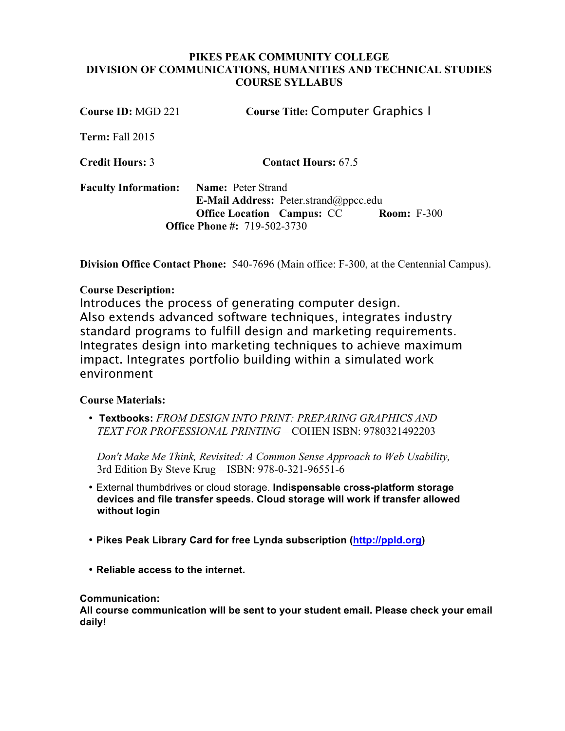## **PIKES PEAK COMMUNITY COLLEGE DIVISION OF COMMUNICATIONS, HUMANITIES AND TECHNICAL STUDIES COURSE SYLLABUS**

| Course ID: MGD 221          | <b>Course Title: Computer Graphics I</b>                                                                                                                             |
|-----------------------------|----------------------------------------------------------------------------------------------------------------------------------------------------------------------|
| Term: Fall 2015             |                                                                                                                                                                      |
| <b>Credit Hours: 3</b>      | <b>Contact Hours: 67.5</b>                                                                                                                                           |
| <b>Faculty Information:</b> | <b>Name:</b> Peter Strand<br>E-Mail Address: Peter.strand@ppcc.edu<br><b>Room: F-300</b><br><b>Office Location Campus: CC</b><br><b>Office Phone #: 719-502-3730</b> |

**Division Office Contact Phone:** 540-7696 (Main office: F-300, at the Centennial Campus).

## **Course Description:**

Introduces the process of generating computer design. Also extends advanced software techniques, integrates industry standard programs to fulfill design and marketing requirements. Integrates design into marketing techniques to achieve maximum impact. Integrates portfolio building within a simulated work environment

## **Course Materials:**

• **Textbooks:** *FROM DESIGN INTO PRINT: PREPARING GRAPHICS AND TEXT FOR PROFESSIONAL PRINTING* – COHEN ISBN: 9780321492203

*Don't Make Me Think, Revisited: A Common Sense Approach to Web Usability,*  3rd Edition By Steve Krug – ISBN: 978-0-321-96551-6

- External thumbdrives or cloud storage. **Indispensable cross-platform storage devices and file transfer speeds. Cloud storage will work if transfer allowed without login**
- **Pikes Peak Library Card for free Lynda subscription (http://ppld.org)**
- **Reliable access to the internet.**

## **Communication:**

**All course communication will be sent to your student email. Please check your email daily!**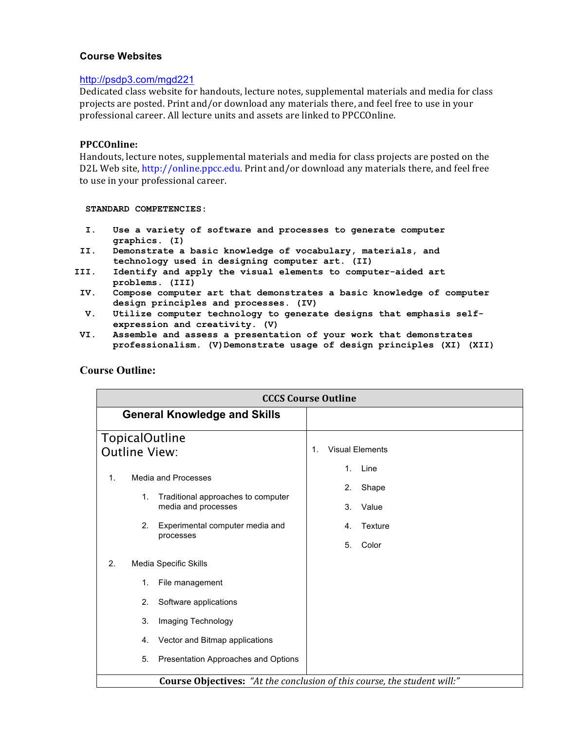#### **Course Websites**

#### http://psdp3.com/mgd221

Dedicated class website for handouts, lecture notes, supplemental materials and media for class projects are posted. Print and/or download any materials there, and feel free to use in your professional career. All lecture units and assets are linked to PPCCOnline.

#### **PPCCOnline:**

Handouts, lecture notes, supplemental materials and media for class projects are posted on the D2L Web site, http://online.ppcc.edu. Print and/or download any materials there, and feel free to use in your professional career.

#### **STANDARD COMPETENCIES:**

- **I. Use a variety of software and processes to generate computer graphics. (I)**
- **II. Demonstrate a basic knowledge of vocabulary, materials, and technology used in designing computer art. (II)**
- **III. Identify and apply the visual elements to computer-aided art problems. (III)**
- **IV. Compose computer art that demonstrates a basic knowledge of computer design principles and processes. (IV)**
- **V. Utilize computer technology to generate designs that emphasis selfexpression and creativity. (V)**
- **VI. Assemble and assess a presentation of your work that demonstrates professionalism. (V)Demonstrate usage of design principles (XI) (XII)**

| <b>CCCS Course Outline</b>                    |                                                                                                                                  |    |                            |                                            |
|-----------------------------------------------|----------------------------------------------------------------------------------------------------------------------------------|----|----------------------------|--------------------------------------------|
| <b>General Knowledge and Skills</b>           |                                                                                                                                  |    |                            |                                            |
| <b>TopicalOutline</b><br><b>Outline View:</b> |                                                                                                                                  | 1. |                            | <b>Visual Elements</b>                     |
| 1.<br>1.<br>2.                                | Media and Processes<br>Traditional approaches to computer<br>media and processes<br>Experimental computer media and<br>processes |    | 1.<br>2.<br>3.<br>4.<br>5. | Line<br>Shape<br>Value<br>Texture<br>Color |
| 2.<br>Media Specific Skills                   |                                                                                                                                  |    |                            |                                            |
| 1.                                            | File management                                                                                                                  |    |                            |                                            |
| 2.                                            | Software applications                                                                                                            |    |                            |                                            |
| 3.                                            | Imaging Technology                                                                                                               |    |                            |                                            |
| 4.                                            | Vector and Bitmap applications                                                                                                   |    |                            |                                            |
| 5.                                            | Presentation Approaches and Options                                                                                              |    |                            |                                            |
|                                               | <b>Course Objectives:</b> "At the conclusion of this course, the student will:"                                                  |    |                            |                                            |

#### **Course Outline:**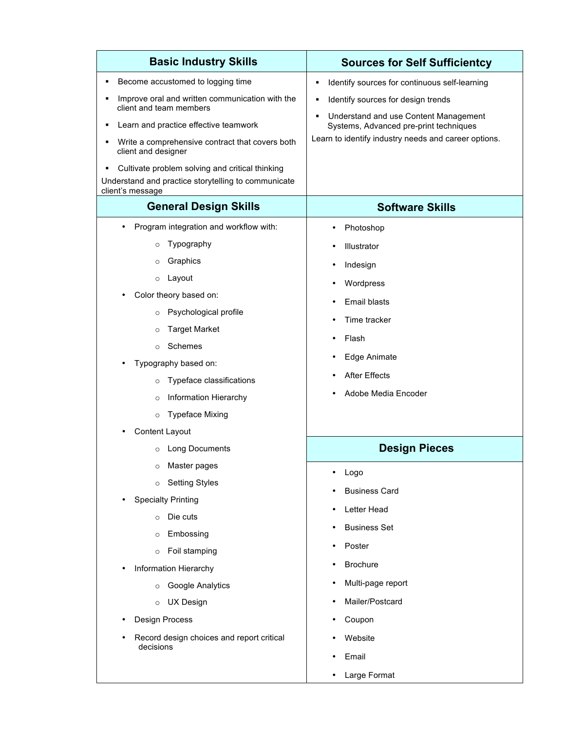| <b>Basic Industry Skills</b>                                                                                               | <b>Sources for Self Sufficientcy</b>                                            |  |  |
|----------------------------------------------------------------------------------------------------------------------------|---------------------------------------------------------------------------------|--|--|
| Become accustomed to logging time                                                                                          | Identify sources for continuous self-learning                                   |  |  |
| Improve oral and written communication with the<br>п<br>client and team members                                            | Identify sources for design trends                                              |  |  |
| Learn and practice effective teamwork                                                                                      | Understand and use Content Management<br>Systems, Advanced pre-print techniques |  |  |
| Write a comprehensive contract that covers both<br>client and designer                                                     | Learn to identify industry needs and career options.                            |  |  |
| Cultivate problem solving and critical thinking<br>Understand and practice storytelling to communicate<br>client's message |                                                                                 |  |  |
| <b>General Design Skills</b>                                                                                               | <b>Software Skills</b>                                                          |  |  |
| Program integration and workflow with:                                                                                     | Photoshop                                                                       |  |  |
| Typography<br>$\circ$                                                                                                      | Illustrator                                                                     |  |  |
| Graphics<br>$\circ$                                                                                                        | Indesign<br>$\bullet$                                                           |  |  |
| Layout<br>$\circ$                                                                                                          | Wordpress                                                                       |  |  |
| Color theory based on:                                                                                                     | Email blasts                                                                    |  |  |
| Psychological profile<br>$\circ$                                                                                           | Time tracker<br>$\bullet$                                                       |  |  |
| <b>Target Market</b><br>$\circ$                                                                                            | Flash                                                                           |  |  |
| Schemes<br>$\circ$                                                                                                         |                                                                                 |  |  |
| Typography based on:                                                                                                       | Edge Animate                                                                    |  |  |
| Typeface classifications<br>$\circ$                                                                                        | <b>After Effects</b>                                                            |  |  |
| Information Hierarchy<br>$\circ$                                                                                           | Adobe Media Encoder                                                             |  |  |
| <b>Typeface Mixing</b><br>$\circ$                                                                                          |                                                                                 |  |  |
| Content Layout                                                                                                             |                                                                                 |  |  |
| <b>Long Documents</b>                                                                                                      | <b>Design Pieces</b>                                                            |  |  |
| Master pages<br>$\circ$                                                                                                    | Logo                                                                            |  |  |
| <b>Setting Styles</b><br>$\circ$                                                                                           | <b>Business Card</b>                                                            |  |  |
| <b>Specialty Printing</b>                                                                                                  | Letter Head                                                                     |  |  |
| Die cuts<br>$\circ$                                                                                                        |                                                                                 |  |  |
| Embossing<br>$\circ$                                                                                                       | <b>Business Set</b><br>$\bullet$                                                |  |  |
| Foil stamping<br>$\circ$                                                                                                   | Poster<br>$\bullet$                                                             |  |  |
| Information Hierarchy                                                                                                      | <b>Brochure</b>                                                                 |  |  |
| Google Analytics<br>$\circ$                                                                                                | Multi-page report                                                               |  |  |
| <b>UX Design</b><br>$\circ$                                                                                                | Mailer/Postcard                                                                 |  |  |
| Design Process                                                                                                             | Coupon                                                                          |  |  |
| Record design choices and report critical                                                                                  | Website                                                                         |  |  |
| decisions                                                                                                                  | Email<br>٠                                                                      |  |  |
|                                                                                                                            | Large Format                                                                    |  |  |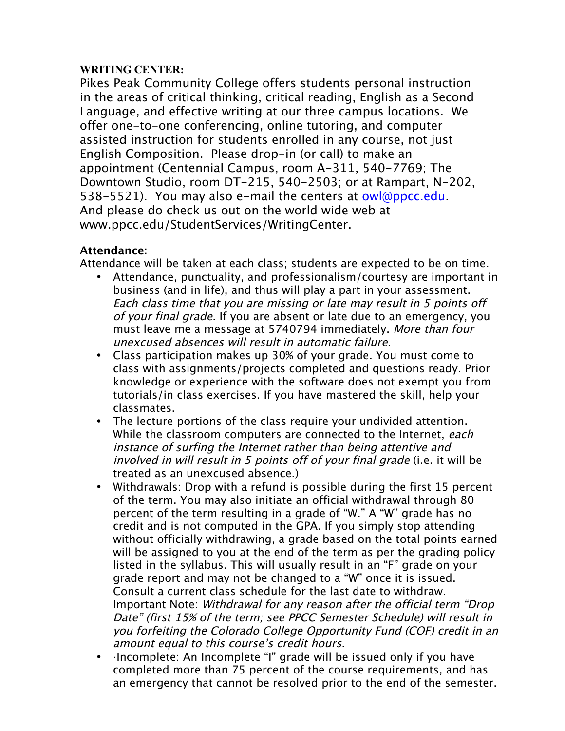# **WRITING CENTER:**

Pikes Peak Community College offers students personal instruction in the areas of critical thinking, critical reading, English as a Second Language, and effective writing at our three campus locations. We offer one-to-one conferencing, online tutoring, and computer assisted instruction for students enrolled in any course, not just English Composition. Please drop-in (or call) to make an appointment (Centennial Campus, room A-311, 540-7769; The Downtown Studio, room DT-215, 540-2503; or at Rampart, N-202, 538-5521). You may also e-mail the centers at owl@ppcc.edu. And please do check us out on the world wide web at www.ppcc.edu/StudentServices/WritingCenter.

# **Attendance:**

Attendance will be taken at each class; students are expected to be on time.

- Attendance, punctuality, and professionalism/courtesy are important in business (and in life), and thus will play a part in your assessment. Each class time that you are missing or late may result in 5 points off of your final grade. If you are absent or late due to an emergency, you must leave me a message at 5740794 immediately. More than four unexcused absences will result in automatic failure.
- Class participation makes up 30% of your grade. You must come to class with assignments/projects completed and questions ready. Prior knowledge or experience with the software does not exempt you from tutorials/in class exercises. If you have mastered the skill, help your classmates.
- The lecture portions of the class require your undivided attention. While the classroom computers are connected to the Internet, each instance of surfing the Internet rather than being attentive and involved in will result in 5 points off of your final grade (i.e. it will be treated as an unexcused absence.)
- Withdrawals: Drop with a refund is possible during the first 15 percent of the term. You may also initiate an official withdrawal through 80 percent of the term resulting in a grade of "W." A "W" grade has no credit and is not computed in the GPA. If you simply stop attending without officially withdrawing, a grade based on the total points earned will be assigned to you at the end of the term as per the grading policy listed in the syllabus. This will usually result in an "F" grade on your grade report and may not be changed to a "W" once it is issued. Consult a current class schedule for the last date to withdraw. Important Note: Withdrawal for any reason after the official term "Drop Date" (first 15% of the term; see PPCC Semester Schedule) will result in you forfeiting the Colorado College Opportunity Fund (COF) credit in an amount equal to this course's credit hours.
- ·Incomplete: An Incomplete "I" grade will be issued only if you have completed more than 75 percent of the course requirements, and has an emergency that cannot be resolved prior to the end of the semester.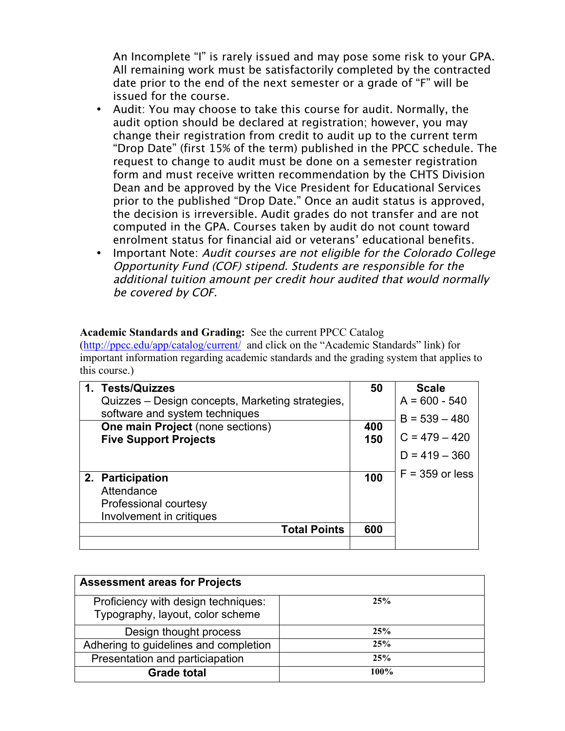An Incomplete "I" is rarely issued and may pose some risk to your GPA. All remaining work must be satisfactorily completed by the contracted date prior to the end of the next semester or a grade of "F" will be issued for the course.

- Audit: You may choose to take this course for audit. Normally, the audit option should be declared at registration; however, you may change their registration from credit to audit up to the current term "Drop Date" (first 15% of the term) published in the PPCC schedule. The request to change to audit must be done on a semester registration form and must receive written recommendation by the CHTS Division Dean and be approved by the Vice President for Educational Services prior to the published "Drop Date." Once an audit status is approved, the decision is irreversible. Audit grades do not transfer and are not computed in the GPA. Courses taken by audit do not count toward enrolment status for financial aid or veterans' educational benefits.
- Important Note: Audit courses are not eligible for the Colorado College Opportunity Fund (COF) stipend. Students are responsible for the additional tuition amount per credit hour audited that would normally be covered by COF.

## **Academic Standards and Grading:** See the current PPCC Catalog

(http://ppcc.edu/app/catalog/current/ and click on the "Academic Standards" link) for important information regarding academic standards and the grading system that applies to this course.)

| 1. Tests/Quizzes<br>Quizzes – Design concepts, Marketing strategies,                | 50  | <b>Scale</b><br>$A = 600 - 540$ |
|-------------------------------------------------------------------------------------|-----|---------------------------------|
| software and system techniques<br><b>One main Project (none sections)</b>           | 400 | $B = 539 - 480$                 |
| <b>Five Support Projects</b>                                                        | 150 | $C = 479 - 420$                 |
|                                                                                     |     | $D = 419 - 360$                 |
| 2. Participation<br>Attendance<br>Professional courtesy<br>Involvement in critiques | 100 | $F = 359$ or less               |
| <b>Total Points</b>                                                                 | 600 |                                 |
|                                                                                     |     |                                 |

| <b>Assessment areas for Projects</b>                                    |      |
|-------------------------------------------------------------------------|------|
| Proficiency with design techniques:<br>Typography, layout, color scheme | 25%  |
| Design thought process                                                  | 25%  |
| Adhering to guidelines and completion                                   | 25%  |
| Presentation and particiapation                                         | 25%  |
| <b>Grade total</b>                                                      | 100% |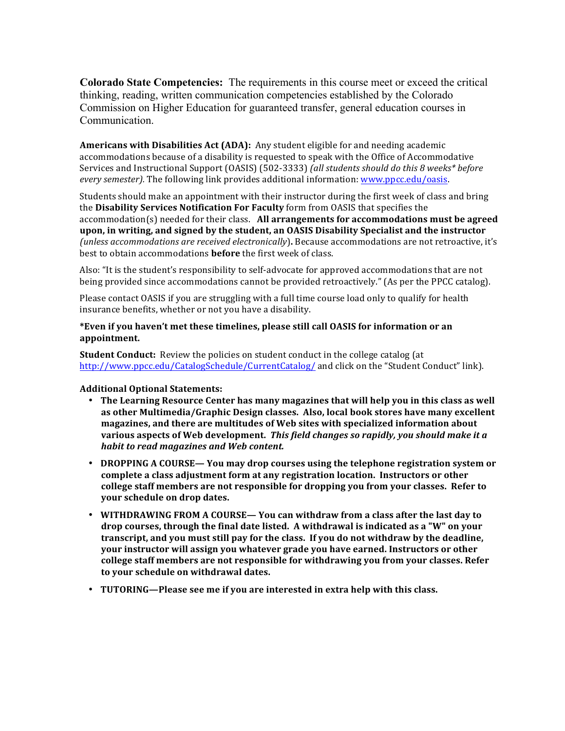**Colorado State Competencies:** The requirements in this course meet or exceed the critical thinking, reading, written communication competencies established by the Colorado Commission on Higher Education for guaranteed transfer, general education courses in Communication.

**Americans with Disabilities Act (ADA):** Any student eligible for and needing academic accommodations because of a disability is requested to speak with the Office of Accommodative Services and Instructional Support (OASIS) (502-3333) *(all students should do this 8 weeks\* before every semester)*. The following link provides additional information: www.ppcc.edu/oasis.

Students should make an appointment with their instructor during the first week of class and bring the **Disability Services Notification For Faculty** form from OASIS that specifies the accommodation(s) needed for their class. All arrangements for accommodations must be agreed upon, in writing, and signed by the student, an OASIS Disability Specialist and the instructor *(unless accommodations are received electronically)*. Because accommodations are not retroactive, it's best to obtain accommodations **before** the first week of class.

Also: "It is the student's responsibility to self-advocate for approved accommodations that are not being provided since accommodations cannot be provided retroactively." (As per the PPCC catalog).

Please contact OASIS if you are struggling with a full time course load only to qualify for health insurance benefits, whether or not you have a disability.

#### \*Even if you haven't met these timelines, please still call OASIS for information or an **appointment.**

**Student Conduct:** Review the policies on student conduct in the college catalog (at http://www.ppcc.edu/CatalogSchedule/CurrentCatalog/ and click on the "Student Conduct" link).

#### Additional Optional Statements:

- The Learning Resource Center has many magazines that will help you in this class as well as other Multimedia/Graphic Design classes. Also, local book stores have many excellent magazines, and there are multitudes of Web sites with specialized information about various aspects of Web development. This field changes so rapidly, you should make it a *habit to read magazines and Web content.*
- **DROPPING A COURSE—** You may drop courses using the telephone registration system or **complete a class adjustment form at any registration location. Instructors or other** college staff members are not responsible for dropping you from your classes. Refer to **your schedule on drop dates.**
- WITHDRAWING FROM A COURSE— You can withdraw from a class after the last day to drop courses, through the final date listed. A withdrawal is indicated as a "W" on your **transcript, and you must still pay for the class. If you do not withdraw by the deadline,** your instructor will assign you whatever grade you have earned. Instructors or other college staff members are not responsible for withdrawing you from your classes. Refer to your schedule on withdrawal dates.
- **TUTORING—Please see me if you are interested in extra help with this class.**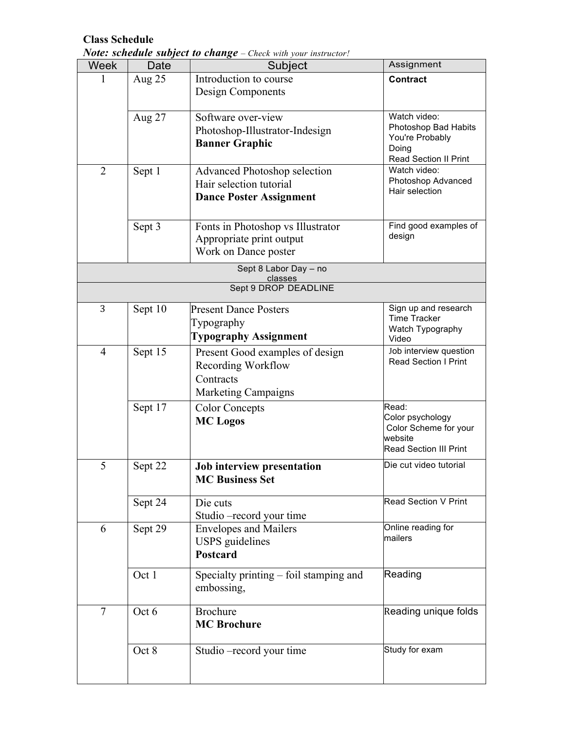## **Class Schedule**

*Note: schedule subject to change – Check with your instructor!*

| Week           | Date    | Subject                                | Assignment                                   |
|----------------|---------|----------------------------------------|----------------------------------------------|
|                | Aug 25  | Introduction to course                 | <b>Contract</b>                              |
|                |         | Design Components                      |                                              |
|                |         |                                        |                                              |
|                | Aug 27  | Software over-view                     | Watch video:                                 |
|                |         | Photoshop-Illustrator-Indesign         | Photoshop Bad Habits                         |
|                |         | <b>Banner Graphic</b>                  | You're Probably                              |
|                |         |                                        | Doing                                        |
|                |         |                                        | <b>Read Section II Print</b><br>Watch video: |
| $\overline{2}$ | Sept 1  | <b>Advanced Photoshop selection</b>    | Photoshop Advanced                           |
|                |         | Hair selection tutorial                | Hair selection                               |
|                |         | <b>Dance Poster Assignment</b>         |                                              |
|                |         |                                        |                                              |
|                | Sept 3  | Fonts in Photoshop vs Illustrator      | Find good examples of                        |
|                |         | Appropriate print output               | design                                       |
|                |         | Work on Dance poster                   |                                              |
|                |         | Sept 8 Labor Day - no                  |                                              |
|                |         | classes                                |                                              |
|                |         | Sept 9 DROP DEADLINE                   |                                              |
| 3              | Sept 10 | <b>Present Dance Posters</b>           | Sign up and research                         |
|                |         | Typography                             | <b>Time Tracker</b>                          |
|                |         |                                        | Watch Typography                             |
|                |         | <b>Typography Assignment</b>           | Video                                        |
| $\overline{4}$ | Sept 15 | Present Good examples of design        | Job interview question                       |
|                |         | Recording Workflow                     | <b>Read Section I Print</b>                  |
|                |         | Contracts                              |                                              |
|                |         | <b>Marketing Campaigns</b>             |                                              |
|                | Sept 17 | <b>Color Concepts</b>                  | Read:                                        |
|                |         | <b>MC</b> Logos                        | Color psychology                             |
|                |         |                                        | Color Scheme for your                        |
|                |         |                                        | website                                      |
|                |         |                                        | <b>Read Section III Print</b>                |
| 5              | Sept 22 | Job interview presentation             | Die cut video tutorial                       |
|                |         | <b>MC Business Set</b>                 |                                              |
|                |         |                                        |                                              |
|                | Sept 24 | Die cuts                               | Read Section V Print                         |
|                |         | Studio -record your time               |                                              |
| 6              | Sept 29 | <b>Envelopes and Mailers</b>           | Online reading for                           |
|                |         | <b>USPS</b> guidelines                 | mailers                                      |
|                |         | <b>Postcard</b>                        |                                              |
|                | Oct 1   |                                        | Reading                                      |
|                |         | Specialty printing – foil stamping and |                                              |
|                |         | embossing,                             |                                              |
| $\tau$         | Oct 6   | <b>Brochure</b>                        | Reading unique folds                         |
|                |         | <b>MC Brochure</b>                     |                                              |
|                |         |                                        |                                              |
|                |         |                                        | Study for exam                               |
|                | Oct 8   | Studio – record your time              |                                              |
|                |         |                                        |                                              |
|                |         |                                        |                                              |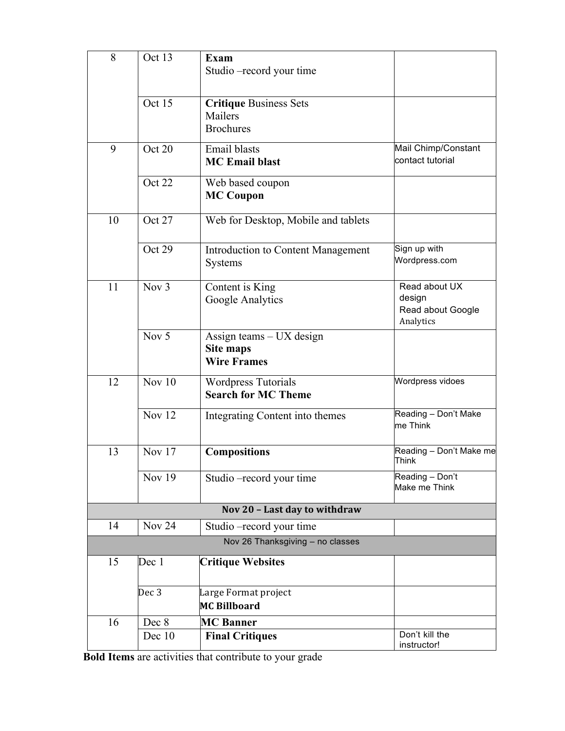| 8  | Oct 13        | <b>Exam</b><br>Studio – record your time                           |                                                           |
|----|---------------|--------------------------------------------------------------------|-----------------------------------------------------------|
|    | Oct 15        | <b>Critique Business Sets</b><br>Mailers<br><b>Brochures</b>       |                                                           |
| 9  | Oct 20        | Email blasts<br><b>MC</b> Email blast                              | Mail Chimp/Constant<br>contact tutorial                   |
|    | Oct 22        | Web based coupon<br><b>MC Coupon</b>                               |                                                           |
| 10 | Oct 27        | Web for Desktop, Mobile and tablets                                |                                                           |
|    | Oct 29        | <b>Introduction to Content Management</b><br><b>Systems</b>        | Sign up with<br>Wordpress.com                             |
| 11 | Nov $3$       | Content is King<br>Google Analytics                                | Read about UX<br>design<br>Read about Google<br>Analytics |
|    | Nov 5         | Assign teams - UX design<br><b>Site maps</b><br><b>Wire Frames</b> |                                                           |
| 12 | Nov $10$      | <b>Wordpress Tutorials</b><br><b>Search for MC Theme</b>           | Wordpress vidoes                                          |
|    | <b>Nov 12</b> | Integrating Content into themes                                    | Reading - Don't Make<br>me Think                          |
| 13 | <b>Nov 17</b> | <b>Compositions</b>                                                | Reading - Don't Make me<br>Think                          |
|    | <b>Nov 19</b> | Studio - record your time                                          | Reading - Don't<br>Make me Think                          |
|    |               | Nov 20 - Last day to withdraw                                      |                                                           |
| 14 | <b>Nov 24</b> | Studio – record your time                                          |                                                           |
|    |               | Nov 26 Thanksgiving - no classes                                   |                                                           |
| 15 | Dec 1         | <b>Critique Websites</b>                                           |                                                           |
|    | Dec 3         | Large Format project<br><b>MC Billboard</b>                        |                                                           |
| 16 | Dec 8         | <b>MC Banner</b>                                                   |                                                           |
|    | Dec 10        | <b>Final Critiques</b>                                             | Don't kill the<br>instructor!                             |

**Bold Items** are activities that contribute to your grade